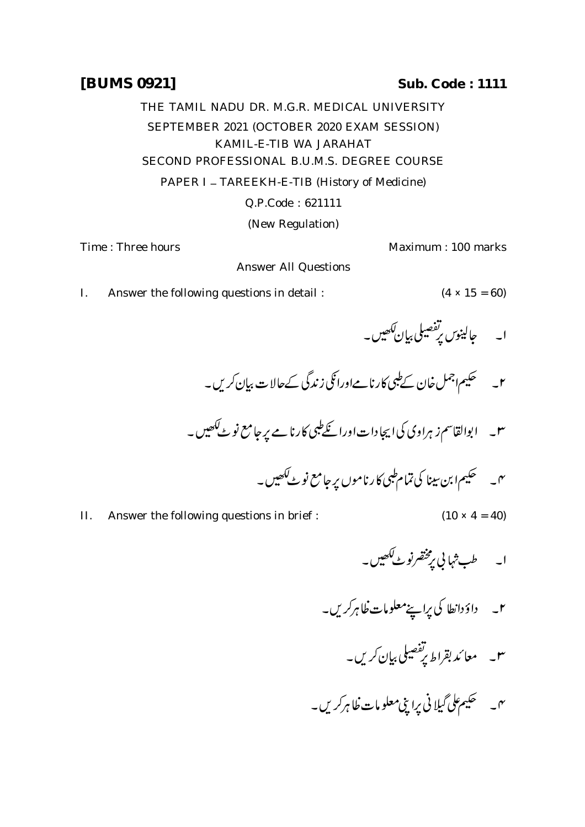## THE TAMIL NADU DR. M.G.R. MEDICAL UNIVERSITY SEPTEMBER 2021 (OCTOBER 2020 EXAM SESSION)

KAMIL-E-TIB WA JARAHAT

SECOND PROFESSIONAL B.U.M.S. DEGREE COURSE

PAPER I - TAREEKH-E-TIB (History of Medicine)

Q.P.Code : 621111

(New Regulation)

Answer All Questions

Time : Three hours **Maximum** : 100 marks

I. Answer the following questions in detail :  $(4 \times 15 = 60)$ 

$$
(4 \times 15 = 60)
$$

 

 

 

- II. Answer the following questions in brief :  $(10 \times 4 = 40)$ 
	-
	- ۲۔ داؤدانطا کی پراپنے معلومات ظاہرکریں۔
		- ۳۔ معائد بقراط پ<sup>ر مص</sup>یلی بیان کریں۔
	- ۰۳۔ مسلم علی *گیلا*ئی پرا پنی معلومات ظاہر کریں۔